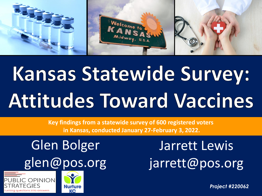

## Kansas Statewide Survey: **Attitudes Toward Vaccines**

**Key findings from a statewide survey of 600 registered voters in Kansas, conducted January 27-February 3, 2022.**

## Glen Bolger glen@pos.org





Jarrett Lewis jarrett@pos.org

*Project #220062*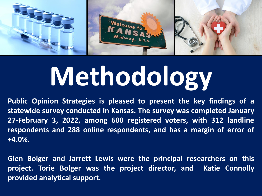

# **Methodology**

**Public Opinion Strategies is pleased to present the key findings of a statewide survey conducted in Kansas. The survey was completed January 27-February 3, 2022, among 600 registered voters, with 312 landline respondents and 288 online respondents, and has a margin of error of +4.0%.**

**Glen Bolger and Jarrett Lewis were the principal researchers on this project. Torie Bolger was the project director, and Katie Connolly provided analytical support.**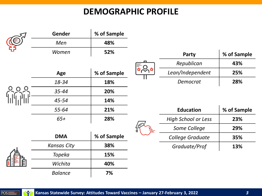#### **DEMOGRAPHIC PROFILE**

|  | Gender             | % of Sample |  |                            |             |
|--|--------------------|-------------|--|----------------------------|-------------|
|  | Men                | 48%         |  |                            |             |
|  | Women              | 52%         |  | Party                      | % of Sample |
|  |                    |             |  | Republican                 | 43%         |
|  | Age                | % of Sample |  | Lean/Independent           | 25%         |
|  | 18-34              | 18%         |  | Democrat                   | 28%         |
|  | $35 - 44$          | 20%         |  |                            |             |
|  | 45-54              | 14%         |  |                            |             |
|  | 55-64              | 21%         |  | <b>Education</b>           | % of Sample |
|  | $65+$              | 28%         |  | <b>High School or Less</b> | 23%         |
|  |                    |             |  | Some College               | 29%         |
|  | <b>DMA</b>         | % of Sample |  | College Graduate           | 35%         |
|  | <b>Kansas City</b> | 38%         |  | Graduate/Prof              | 13%         |
|  | Topeka             | 15%         |  |                            |             |
|  | Wichita            | 40%         |  |                            |             |
|  | <b>Balance</b>     | 7%          |  |                            |             |

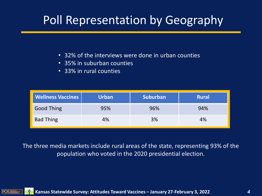### Poll Representation by Geography

- 32% of the interviews were done in urban counties
- 35% in suburban counties
- 33% in rural counties

| <b>Wellness Vaccines</b> | <b>Urban</b> | <b>Suburban</b> | <b>Rural</b> |
|--------------------------|--------------|-----------------|--------------|
| <b>Good Thing</b>        | 95%          | 96%             | 94%          |
| <b>Bad Thing</b>         | 4%           | 3%              | 4%           |

The three media markets include rural areas of the state, representing 93% of the population who voted in the 2020 presidential election.

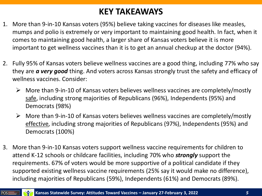#### **KEY TAKEAWAYS**

- 1. More than 9-in-10 Kansas voters (95%) believe taking vaccines for diseases like measles, mumps and polio is extremely or very important to maintaining good health. In fact, when it comes to maintaining good health, a larger share of Kansas voters believe it is more important to get wellness vaccines than it is to get an annual checkup at the doctor (94%).
- 2. Fully 95% of Kansas voters believe wellness vaccines are a good thing, including 77% who say they are *a very good* thing. And voters across Kansas strongly trust the safety and efficacy of wellness vaccines. Consider:
	- $\triangleright$  More than 9-in-10 of Kansas voters believes wellness vaccines are completely/mostly safe, including strong majorities of Republicans (96%), Independents (95%) and Democrats (98%)
	- $\triangleright$  More than 9-in-10 of Kansas voters believes wellness vaccines are completely/mostly effective, including strong majorities of Republicans (97%), Independents (95%) and Democrats (100%)
- 3. More than 9-in-10 Kansas voters support wellness vaccine requirements for children to attend K-12 schools or childcare facilities, including 70% who *strongly* support the requirements. 67% of voters would be more supportive of a political candidate if they supported existing wellness vaccine requirements (25% say it would make no difference), including majorities of Republicans (59%), Independents (61%) and Democrats (89%).

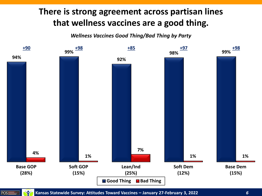#### **There is strong agreement across partisan lines that wellness vaccines are a good thing.**

*Wellness Vaccines Good Thing/Bad Thing by Party*





**Kansas Statewide Survey: Attitudes Toward Vaccines – January 27-February 3, 2022** *6*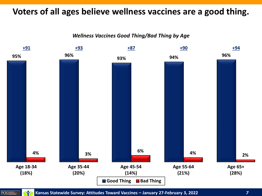#### **Voters of all ages believe wellness vaccines are a good thing.**

*Wellness Vaccines Good Thing/Bad Thing by Age*



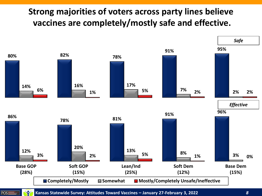#### **Strong majorities of voters across party lines believe vaccines are completely/mostly safe and effective.**



**Kansas Statewide Survey: Attitudes Toward Vaccines – January 27-February 3, 2022** *8*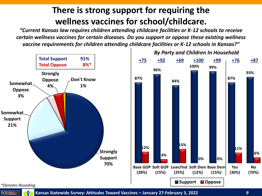#### **There is strong support for requiring the wellness vaccines for school/childcare.**

*"Current Kansas law requires children attending childcare facilities or K-12 schools to receive certain wellness vaccines for certain diseases. Do you support or oppose these existing wellness vaccine requirements for children attending childcare facilities or K-12 schools in Kansas?"*



**100% 99%** *By Party and Children In Household* **+75 +92 +69 +100 +99 +76 +87**

**0% 0%**

**(15%)**

**(12%)**

**87%**

**93%**

*\*Denotes Rounding.*



**Kansas Statewide Survey: Attitudes Toward Vaccines – January 27-February 3, 2022** *9*

**6%**

**No (70%)**

**11%**

**Yes (30%)**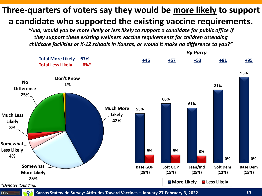#### **Three-quarters of voters say they would be more likely to support a candidate who supported the existing vaccine requirements.**

*"And, would you be more likely or less likely to support a candidate for public office if they support these existing wellness vaccine requirements for children attending childcare facilities or K-12 schools in Kansas, or would it make no difference to you?"*





POS≣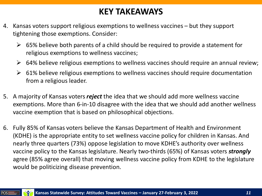#### **KEY TAKEAWAYS**

- 4. Kansas voters support religious exemptions to wellness vaccines but they support tightening those exemptions. Consider:
	- $\triangleright$  65% believe both parents of a child should be required to provide a statement for religious exemptions to wellness vaccines;
	- $\triangleright$  64% believe religious exemptions to wellness vaccines should require an annual review;
	- $\triangleright$  61% believe religious exemptions to wellness vaccines should require documentation from a religious leader.
- 5. A majority of Kansas voters *reject* the idea that we should add more wellness vaccine exemptions. More than 6-in-10 disagree with the idea that we should add another wellness vaccine exemption that is based on philosophical objections.
- 6. Fully 85% of Kansas voters believe the Kansas Department of Health and Environment (KDHE) is the appropriate entity to set wellness vaccine policy for children in Kansas. And nearly three quarters (73%) oppose legislation to move KDHE's authority over wellness vaccine policy to the Kansas legislature. Nearly two-thirds (65%) of Kansas voters *strongly* agree (85% agree overall) that moving wellness vaccine policy from KDHE to the legislature would be politicizing disease prevention.



Y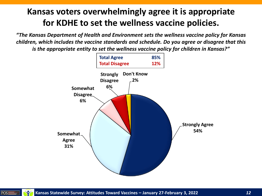#### **Kansas voters overwhelmingly agree it is appropriate for KDHE to set the wellness vaccine policies.**

*"The Kansas Department of Health and Environment sets the wellness vaccine policy for Kansas children, which includes the vaccine standards and schedule. Do you agree or disagree that this is the appropriate entity to set the wellness vaccine policy for children in Kansas?"*